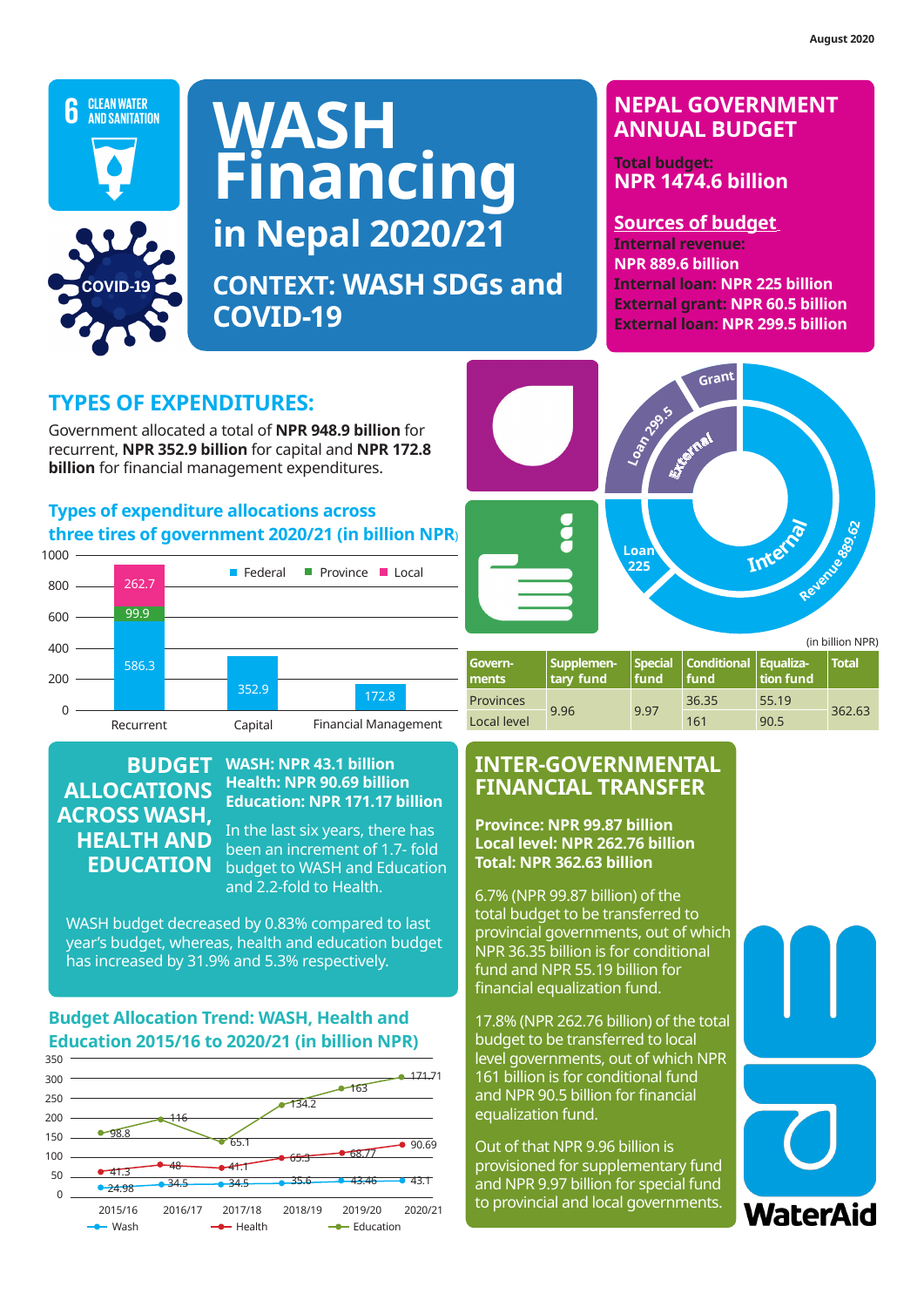

**COVID-19**

**in Nepal 2019/20** 

**in Nepal 2019/20** 

NPR 123.87 billion for conditional grant.

NPR 123.87 billion for conditional grant.

# **WASH Financing in Nepal 2020/21 WASH Financing WASH Financing Context: Sanitation and Water SDGs Context: Sanitation and Water SDGs**

**CONTEXT: WASH SDGs and COVID-19**

# **NEPAL GOVERNMENT ANNUAL BUDGET**

**Total budget: NPR 1474.6 billion**

**Sources of budget Internal revenue: NPR 889.6 billion Internal loan: NPR 225 billion External grant: NPR 60.5 billion External loan: NPR 299.5 billion**

#### **TYPES OF EXPENDITURES:**

Government allocated a total of **NPR 948.9 billion** for **TYPES OF EXPENDITURES.**<br>Government allocated a total of **NPR 948.9 billion** for<br>recurrent, **NPR 352.9 billion** for capital and **NPR 172.8**<br>billion for financial management expenditures **billion** for financial management expenditures.

#### **Types of expenditure allocations across three tires of government 2020/21 (in billion NPR**) **Foreign grant: 4% (NPR 58 billion) Foreign loan: 19% (NPR 299 billion) across**<br> **12 (in billion N**<br> **Province** Local **Foreign loan: 19% (NPR 299 billion)**



#### 6.4% (NPR 99.84 billion) of the total budget to be transferred to provincial governments, out of  $\overline{a}$  and  $\overline{b}$ **HEALTH AND** to local level governments, out of which NPR 6.4% (NPR 99.84 billion) of the total budget to be transferred to provincial governments, out of  $\overline{A}$ to local level governments, out of which NPR **BUDGET ALLOCATIONS ACROSS WASH, EDUCATION**

#### **FT** WASH: NPR 43.1 billion **INTER-GOV NIC Realth: NPR 90.69 billion Press PTNANCTAI** Metropolitan city 3.1 4.6 7.75 Metropolitan city 3.1 4.6 7.75 **Education: NPR 171.17 billion**

**equalization fund**

**equalization fund**

**fund**

**fund**

 $\sum_{i=0}^{11}$  In the last six years, there has  $\sum_{i=1}^{11}$  Province: NPR Municipality 39.8 55.5 95.29 Municipality 39.8 55.5 95.29 been an increment of 1.7- fold JN budget to WASH and Education **Pulled MPR 592.0** and 2.2-fold to Health.

WASH budget decreased by 0.83% compared to last **the relation of the provinc** lereas, health and education budget <sub>NPR 36.3</sub> **Budget accreased by 0.05% compared to last specific province**<br>year's budget, whereas, health and education budget **Education 2016**<br>has increased by 31.9% and 5.3% respectively.

#### Budget Allocation Trend: WASH, Health and Education 2015/16 to 2020/21 (in billion NPR) 160

160





| Govern-<br>ments | Supplemen-<br>tary fund | fund. | Special Conditional Equaliza-<br>Ifund | tion fund | <b>Total</b> |  |
|------------------|-------------------------|-------|----------------------------------------|-----------|--------------|--|
| <b>Provinces</b> |                         | 9.97  | 36.35                                  | 55.19     |              |  |
| Local level      | 9.96                    |       | 161                                    | 90.5      | 362.63       |  |

#### **INTER-GOVERNMENTAL FINANCIAL TRANSFER**

**Province: NPR 99.87 billion Local level: NPR 262.76 billion Total: NPR 362.63 billion**

**Example 2.2-1010 to Treater: Total 145.7% (NPR 99.87 billion) of the** total budget to be transferred to provincial governments, out of which NPR 36.35 billion is for conditional fund and NPR 55.19 billion for financial equalization fund.

> 17.8% (NPR 262.76 billion) of the total budget to be transferred to local level governments, out of which NPR 161 billion is for conditional fund and NPR 90.5 billion for financial and it is 50.5 miles

Out of that NPR 9.96 billion is provisioned for supplementary fund and NPR 9.97 billion for special fund  $\frac{1}{17/18}$  2018/19 2019/20 2020/21 to provincial and local governments.

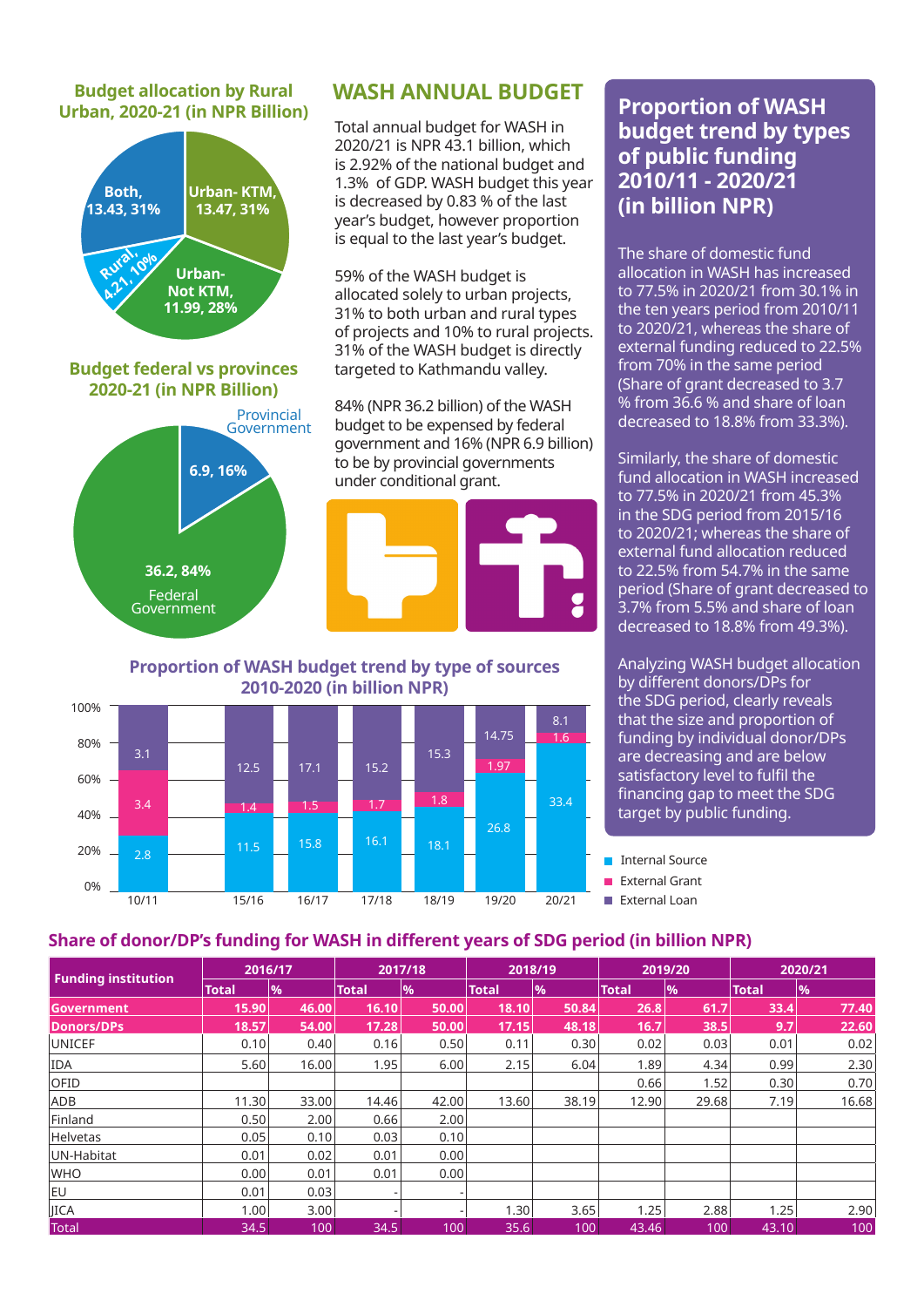# **Urban, 2020-21 (in NPR Billion)**



## **Budget allocation by Rural WASH ANNUAL BUDGET**

Total annual budget for WASH in 2020/21 is NPR 43.1 billion, which is 2.92% of the national budget and 1.3% of GDP. WASH budget this year is decreased by 0.83 % of the last year's budget, however proportion is equal to the last year's budget.

59% of the WASH budget is allocated solely to urban projects, 31% to both urban and rural types of projects and 10% to rural projects. 31% of the WASH budget is directly targeted to Kathmandu valley.

84% (NPR 36.2 billion) of the WASH budget to be expensed by federal government and 16% (NPR 6.9 billion) to be by provincial governments under conditional grant.



**Proportion of WASH budget trend by type of sources 2010-2020 (in billion NPR)**



# **Proportion of WASH budget trend by types of public funding 2010/11 - 2020/21 (in billion NPR)**

The share of domestic fund allocation in WASH has increased to 77.5% in 2020/21 from 30.1% in the ten years period from 2010/11 to 2020/21, whereas the share of external funding reduced to 22.5% from 70% in the same period (Share of grant decreased to 3.7 % from 36.6 % and share of loan decreased to 18.8% from 33.3%).

Similarly, the share of domestic fund allocation in WASH increased to 77.5% in 2020/21 from 45.3% in the SDG period from 2015/16 to 2020/21; whereas the share of external fund allocation reduced to 22.5% from 54.7% in the same period (Share of grant decreased to 3.7% from 5.5% and share of loan decreased to 18.8% from 49.3%).

Analyzing WASH budget allocation by different donors/DPs for the SDG period, clearly reveals that the size and proportion of funding by individual donor/DPs are decreasing and are below satisfactory level to fulfil the financing gap to meet the SDG target by public funding.

Internal Source

**External Loan** 

#### **Share of donor/DP's funding for WASH in different years of SDG period (in billion NPR)**

|                            | 2016/17      |       | 2017/18      |             | 2018/19      |       | 2019/20      |               | 2020/21 |               |
|----------------------------|--------------|-------|--------------|-------------|--------------|-------|--------------|---------------|---------|---------------|
| <b>Funding institution</b> | <b>Total</b> | %     | <b>Total</b> | $\sqrt{96}$ | <b>Total</b> | 9/6   | <b>Total</b> | $\frac{9}{6}$ | Total   | $\frac{9}{6}$ |
| Government                 | 15.90        | 46.00 | 16.10        | 50.00       | 18.10        | 50.84 | 26.8         | 61.7          | 33.4    | 77.40         |
| <b>Donors/DPs</b>          | 18.57        | 54.00 | 17.28        | 50.00       | 17.15        | 48.18 | 16.7         | 38.5          | 9.7     | 22.60         |
| <b>UNICEF</b>              | 0.10         | 0.40  | 0.16         | 0.50        | 0.11         | 0.30  | 0.02         | 0.03          | 0.01    | 0.02          |
| <b>IDA</b>                 | 5.60         | 16.00 | 1.95         | 6.00        | 2.15         | 6.04  | 1.89         | 4.34          | 0.99    | 2.30          |
| OFID                       |              |       |              |             |              |       | 0.66         | 1.52          | 0.30    | 0.70          |
| ADB                        | 11.30        | 33.00 | 14.46        | 42.00       | 13.60        | 38.19 | 12.90        | 29.68         | 7.19    | 16.68         |
| Finland                    | 0.50         | 2.00  | 0.66         | 2.00        |              |       |              |               |         |               |
| <b>Helvetas</b>            | 0.05         | 0.10  | 0.03         | 0.10        |              |       |              |               |         |               |
| UN-Habitat                 | 0.01         | 0.02  | 0.01         | 0.00        |              |       |              |               |         |               |
| <b>WHO</b>                 | 0.00         | 0.01  | 0.01         | 0.00        |              |       |              |               |         |               |
| <b>EU</b>                  | 0.01         | 0.03  |              |             |              |       |              |               |         |               |
| <b>JICA</b>                | 1.00         | 3.00  |              |             | 1.30         | 3.65  | 1.25         | 2.88          | 1.25    | 2.90          |
| <b>Total</b>               | 34.5         | 100   | 34.5         | 100         | 35.6         | 100   | 43.46        | 100           | 43.10   | 100           |

External Grant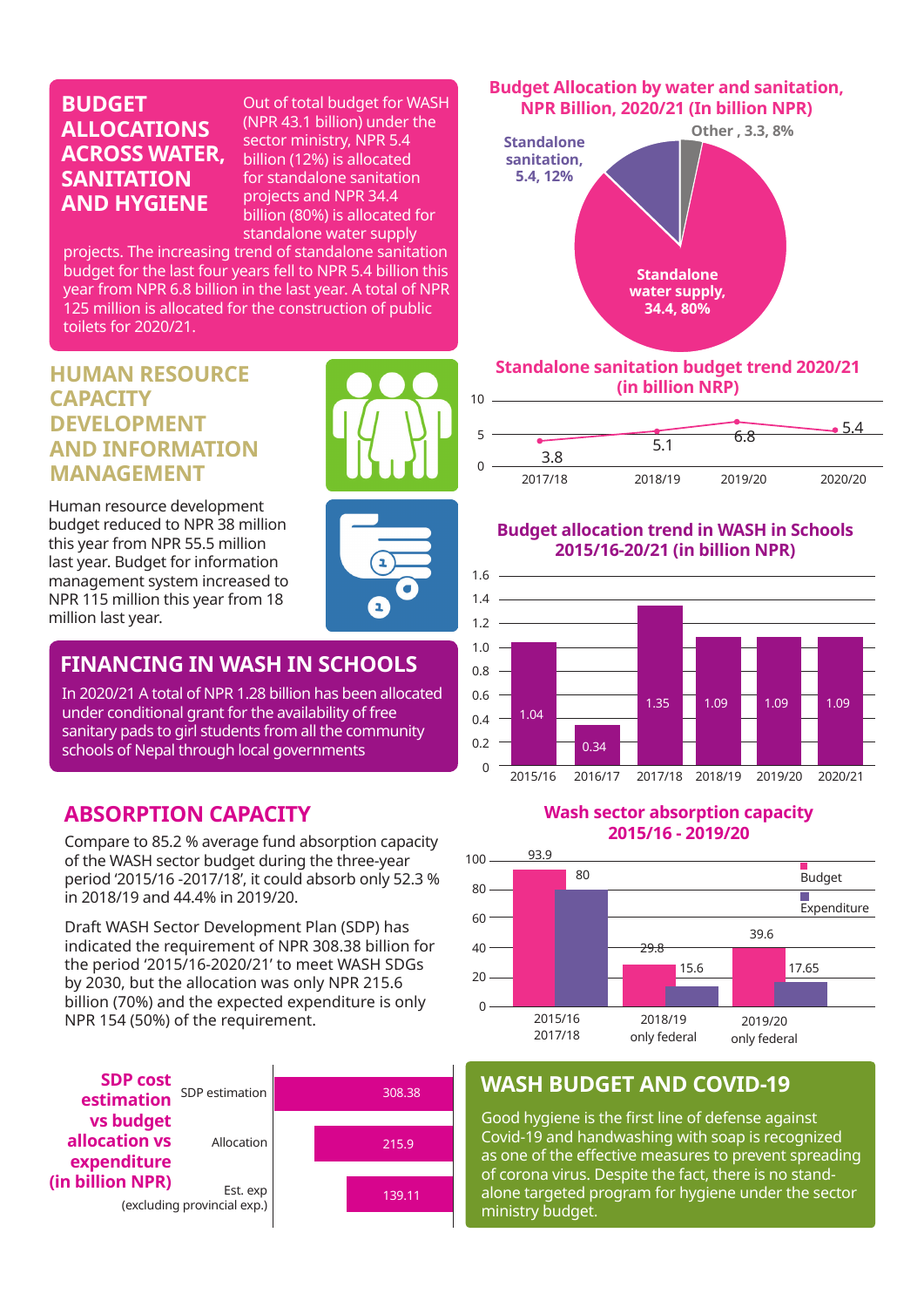#### **BUDGET ALLOCATIONS ACROSS WATER, SANITATION AND HYGIENE**

Out of total budget for WASH (NPR 43.1 billion) under the sector ministry, NPR 5.4 billion (12%) is allocated for standalone sanitation projects and NPR 34.4 billion (80%) is allocated for standalone water supply

ı

projects. The increasing trend of standalone sanitation budget for the last four years fell to NPR 5.4 billion this year from NPR 6.8 billion in the last year. A total of NPR 125 million is allocated for the construction of public toilets for 2020/21.

## **HUMAN RESOURCE CAPACITY DEVELOPMENT AND INFORMATION MANAGEMENT**

Human resource development budget reduced to NPR 38 million this year from NPR 55.5 million last year. Budget for information management system increased to NPR 115 million this year from 18 million last year.

# **FINANCING IN WASH IN SCHOOLS**

In 2020/21 A total of NPR 1.28 billion has been allocated under conditional grant for the availability of free sanitary pads to girl students from all the community schools of Nepal through local governments

# **ABSORPTION CAPACITY**

Compare to 85.2 % average fund absorption capacity of the WASH sector budget during the three-year period '2015/16 -2017/18', it could absorb only 52.3 % in 2018/19 and 44.4% in 2019/20.

Draft WASH Sector Development Plan (SDP) has indicated the requirement of NPR 308.38 billion for the period '2015/16-2020/21' to meet WASH SDGs by 2030, but the allocation was only NPR 215.6 billion (70%) and the expected expenditure is only NPR 154 (50%) of the requirement.



#### **Budget Allocation by water and sanitation, NPR Billion, 2020/21 (In billion NPR)**



#### **Standalone sanitation budget trend 2020/21 (in billion NRP)**



#### **Budget allocation trend in WASH in Schools 2015/16-20/21 (in billion NPR)**



#### **Wash sector absorption capacity 2015/16 - 2019/20**



# **WASH BUDGET AND COVID-19**

Good hygiene is the first line of defense against Covid-19 and handwashing with soap is recognized as one of the effective measures to prevent spreading of corona virus. Despite the fact, there is no standalone targeted program for hygiene under the sector ministry budget.